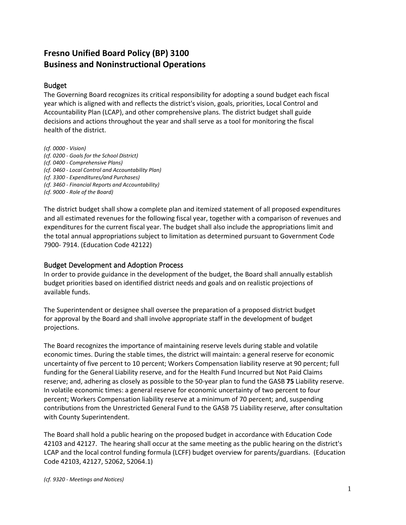# **[Fresno Unified Board Policy \(B](http://www.fresnounified.org/board/policies/Policies/fusd/loaddistrictpolicy/1050.htm)P) 3100 Business and Noninstructional Operations**

#### Budget

The Governing Board recognizes its critical responsibility for adopting a sound budget each fiscal year which is aligned with and reflects the district's vision, goals, priorities, Local Control and Accountability Plan (LCAP), and other comprehensive plans. The district budget shall guide decisions and actions throughout the year and shall serve as a tool for monitoring the fiscal health of the district.

*(cf. 0000 - Vision) (cf. 0200 - Goals for the School District) (cf. 0400 - Comprehensive Plans) (cf. 0460 - Local Control and Accountability Plan) (cf. 3300 - Expenditures/and Purchases) (cf. 3460 - Financial Reports and Accountability) (cf. 9000 - Role of the Board)*

The district budget shall show a complete plan and itemized statement of all proposed expenditures and all estimated revenues for the following fiscal year, together with a comparison of revenues and expenditures for the current fiscal year. The budget shall also include the appropriations limit and the total annual appropriations subject to limitation as determined pursuant to Government Code 7900- 7914. (Education Code 42122)

#### Budget Development and Adoption Process

In order to provide guidance in the development of the budget, the Board shall annually establish budget priorities based on identified district needs and goals and on realistic projections of available funds.

The Superintendent or designee shall oversee the preparation of a proposed district budget for approval by the Board and shall involve appropriate staff in the development of budget projections.

The Board recognizes the importance of maintaining reserve levels during stable and volatile economic times. During the stable times, the district will maintain: a general reserve for economic uncertainty of five percent to 10 percent; Workers Compensation liability reserve at 90 percent; full funding for the General Liability reserve, and for the Health Fund Incurred but Not Paid Claims reserve; and, adhering as closely as possible to the 50-year plan to fund the GASB **75** Liability reserve. In volatile economic times: a general reserve for economic uncertainty of two percent to four percent; Workers Compensation liability reserve at a minimum of 70 percent; and, suspending contributions from the Unrestricted General Fund to the GASB 75 Liability reserve, after consultation with County Superintendent.

The Board shall hold a public hearing on the proposed budget in accordance with Education Code 42103 and 42127. The hearing shall occur at the same meeting as the public hearing on the district's LCAP and the local control funding formula (LCFF) budget overview for parents/guardians. (Education Code 42103, 42127, 52062, 52064.1)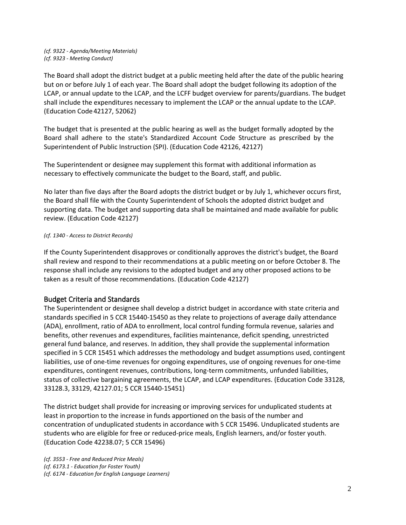*(cf. 9322 - Agenda/Meeting Materials) (cf. 9323 - Meeting Conduct)*

The Board shall adopt the district budget at a public meeting held after the date of the public hearing but on or before July 1 of each year. The Board shall adopt the budget following its adoption of the LCAP, or annual update to the LCAP, and the LCFF budget overview for parents/guardians. The budget shall include the expenditures necessary to implement the LCAP or the annual update to the LCAP. (Education Code42127, 52062)

The budget that is presented at the public hearing as well as the budget formally adopted by the Board shall adhere to the state's Standardized Account Code Structure as prescribed by the Superintendent of Public Instruction (SPI). (Education Code 42126, 42127)

The Superintendent or designee may supplement this format with additional information as necessary to effectively communicate the budget to the Board, staff, and public.

No later than five days after the Board adopts the district budget or by July 1, whichever occurs first, the Board shall file with the County Superintendent of Schools the adopted district budget and supporting data. The budget and supporting data shall be maintained and made available for public review. (Education Code 42127)

#### *(cf. 1340 - Access to District Records)*

If the County Superintendent disapproves or conditionally approves the district's budget, the Board shall review and respond to their recommendations at a public meeting on or before October 8. The response shall include any revisions to the adopted budget and any other proposed actions to be taken as a result of those recommendations. (Education Code 42127)

#### Budget Criteria and Standards

The Superintendent or designee shall develop a district budget in accordance with state criteria and standards specified in 5 CCR 15440-15450 as they relate to projections of average daily attendance (ADA), enrollment, ratio of ADA to enrollment, local control funding formula revenue, salaries and benefits, other revenues and expenditures, facilities maintenance, deficit spending, unrestricted general fund balance, and reserves. In addition, they shall provide the supplemental information specified in 5 CCR 15451 which addresses the methodology and budget assumptions used, contingent liabilities, use of one-time revenues for ongoing expenditures, use of ongoing revenues for one-time expenditures, contingent revenues, contributions, long-term commitments, unfunded liabilities, status of collective bargaining agreements, the LCAP, and LCAP expenditures. (Education Code 33128, 33128.3, 33129, 42127.01; 5 CCR 15440-15451)

The district budget shall provide for increasing or improving services for unduplicated students at least in proportion to the increase in funds apportioned on the basis of the number and concentration of unduplicated students in accordance with 5 CCR 15496. Unduplicated students are students who are eligible for free or reduced-price meals, English learners, and/or foster youth. (Education Code 42238.07; 5 CCR 15496)

*(cf. 3553 - Free and Reduced Price Meals) (cf. 6173.1 - Education for Foster Youth) (cf. 6174 - Education for English Language Learners)*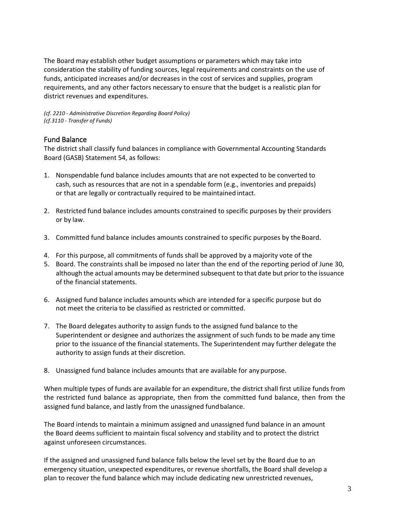The Board may establish other budget assumptions or parameters which may take into consideration the stability of funding sources, legal requirements and constraints on the use of funds, anticipated increases and/or decreases in the cost of services and supplies, program requirements, and any other factors necessary to ensure that the budget is a realistic plan for district revenues and expenditures.

*(cf. 2210 - Administrative Discretion Regarding Board Policy) (cf.3110 - Transfer of Funds)*

### Fund Balance

The district shall classify fund balances in compliance with Governmental Accounting Standards Board (GASB) Statement 54, as follows:

- 1. Nonspendable fund balance includes amounts that are not expected to be converted to cash, such as resources that are not in a spendable form (e.g., inventories and prepaids) or that are legally or contractually required to be maintained intact.
- 2. Restricted fund balance includes amounts constrained to specific purposes by their providers or by law.
- 3. Committed fund balance includes amounts constrained to specific purposes by the Board.
- 4. For this purpose, all commitments of funds shall be approved by a majority vote of the
- 5. Board. The constraints shall be imposed no later than the end of the reporting period of June 30, although the actual amounts may be determined subsequent to that date but priorto the issuance of the financial statements.
- 6. Assigned fund balance includes amounts which are intended for a specific purpose but do not meet the criteria to be classified as restricted or committed.
- 7. The Board delegates authority to assign funds to the assigned fund balance to the Superintendent or designee and authorizes the assignment of such funds to be made any time prior to the issuance of the financial statements. The Superintendent may further delegate the authority to assign funds at their discretion.
- 8. Unassigned fund balance includes amounts that are available for anypurpose.

When multiple types of funds are available for an expenditure, the district shall first utilize funds from the restricted fund balance as appropriate, then from the committed fund balance, then from the assigned fund balance, and lastly from the unassigned fundbalance.

The Board intends to maintain a minimum assigned and unassigned fund balance in an amount the Board deems sufficient to maintain fiscal solvency and stability and to protect the district against unforeseen circumstances.

If the assigned and unassigned fund balance falls below the level set by the Board due to an emergency situation, unexpected expenditures, or revenue shortfalls, the Board shall develop a plan to recover the fund balance which may include dedicating new unrestricted revenues,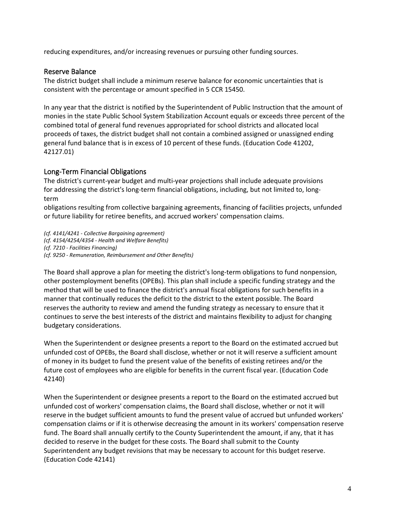reducing expenditures, and/or increasing revenues or pursuing other funding sources.

### Reserve Balance

The district budget shall include a minimum reserve balance for economic uncertainties that is consistent with the percentage or amount specified in 5 CCR 15450.

In any year that the district is notified by the Superintendent of Public Instruction that the amount of monies in the state Public School System Stabilization Account equals or exceeds three percent of the combined total of general fund revenues appropriated for school districts and allocated local proceeds of taxes, the district budget shall not contain a combined assigned or unassigned ending general fund balance that is in excess of 10 percent of these funds. (Education Code 41202, 42127.01)

## Long-Term Financial Obligations

The district's current-year budget and multi-year projections shall include adequate provisions for addressing the district's long-term financial obligations, including, but not limited to, longterm

obligations resulting from collective bargaining agreements, financing of facilities projects, unfunded or future liability for retiree benefits, and accrued workers' compensation claims.

*(cf. 4141/4241 - Collective Bargaining agreement) (cf. 4154/4254/4354 - Health and Welfare Benefits) (cf. 7210 - Facilities Financing) (cf. 9250 - Remuneration, Reimbursement and Other Benefits)*

The Board shall approve a plan for meeting the district's long-term obligations to fund nonpension, other postemployment benefits (OPEBs). This plan shall include a specific funding strategy and the method that will be used to finance the district's annual fiscal obligations for such benefits in a manner that continually reduces the deficit to the district to the extent possible. The Board reserves the authority to review and amend the funding strategy as necessary to ensure that it continues to serve the best interests of the district and maintains flexibility to adjust for changing budgetary considerations.

When the Superintendent or designee presents a report to the Board on the estimated accrued but unfunded cost of OPEBs, the Board shall disclose, whether or not it will reserve a sufficient amount of money in its budget to fund the present value of the benefits of existing retirees and/or the future cost of employees who are eligible for benefits in the current fiscal year. (Education Code 42140)

When the Superintendent or designee presents a report to the Board on the estimated accrued but unfunded cost of workers' compensation claims, the Board shall disclose, whether or not it will reserve in the budget sufficient amounts to fund the present value of accrued but unfunded workers' compensation claims or if it is otherwise decreasing the amount in its workers' compensation reserve fund. The Board shall annually certify to the County Superintendent the amount, if any, that it has decided to reserve in the budget for these costs. The Board shall submit to the County Superintendent any budget revisions that may be necessary to account for this budget reserve. (Education Code 42141)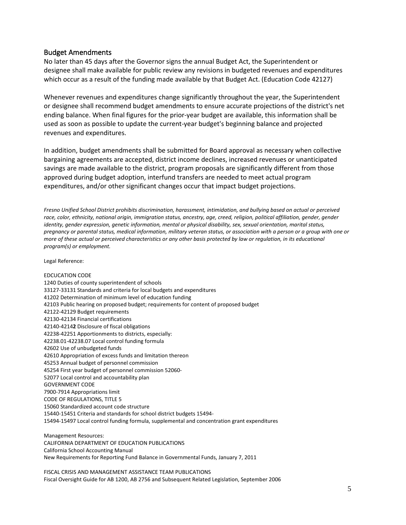#### Budget Amendments

No later than 45 days after the Governor signs the annual Budget Act, the Superintendent or designee shall make available for public review any revisions in budgeted revenues and expenditures which occur as a result of the funding made available by that Budget Act. (Education Code 42127)

Whenever revenues and expenditures change significantly throughout the year, the Superintendent or designee shall recommend budget amendments to ensure accurate projections of the district's net ending balance. When final figures for the prior-year budget are available, this information shall be used as soon as possible to update the current-year budget's beginning balance and projected revenues and expenditures.

In addition, budget amendments shall be submitted for Board approval as necessary when collective bargaining agreements are accepted, district income declines, increased revenues or unanticipated savings are made available to the district, program proposals are significantly different from those approved during budget adoption, interfund transfers are needed to meet actual program expenditures, and/or other significant changes occur that impact budget projections.

*Fresno Unified School District prohibits discrimination, harassment, intimidation, and bullying based on actual or perceived*  race, color, ethnicity, national origin, immigration status, ancestry, age, creed, religion, political affiliation, gender, gender *identity, gender expression, genetic information, mental or physical disability, sex, sexual orientation, marital status, pregnancy or parental status, medical information, military veteran status, or association with a person or a group with one or more of these actual or perceived characteristics or any other basis protected by law or regulation, in its educational program(s) or employment.*

Legal Reference:

EDCUCATION CODE 1240 Duties of county superintendent of schools 33127-33131 Standards and criteria for local budgets and expenditures 41202 Determination of minimum level of education funding 42103 Public hearing on proposed budget; requirements for content of proposed budget 42122-42129 Budget requirements 42130-42134 Financial certifications 42140-4214**2** Disclosure of fiscal obligations 42238-42251 Apportionments to districts, especially: 42238.01-42238.07 Local control funding formula 42602 Use of unbudgeted funds 42610 Appropriation of excess funds and limitation thereon 45253 Annual budget of personnel commission 45254 First year budget of personnel commission 52060- 52077 Local control and accountability plan GOVERNMENT CODE 7900-7914 Appropriations limit CODE OF REGULATIONS, TITLE 5 15060 Standardized account code structure 15440-15451 Criteria and standards for school district budgets 15494- 15494-15497 Local control funding formula, supplemental and concentration grant expenditures Management Resources:

CALIFORNIA DEPARTMENT OF EDUCATION PUBLICATIONS California School Accounting Manual New Requirements for Reporting Fund Balance in Governmental Funds, January 7, 2011

FISCAL CRISIS AND MANAGEMENT ASSISTANCE TEAM PUBLICATIONS Fiscal Oversight Guide for AB 1200, AB 2756 and Subsequent Related Legislation, September 2006